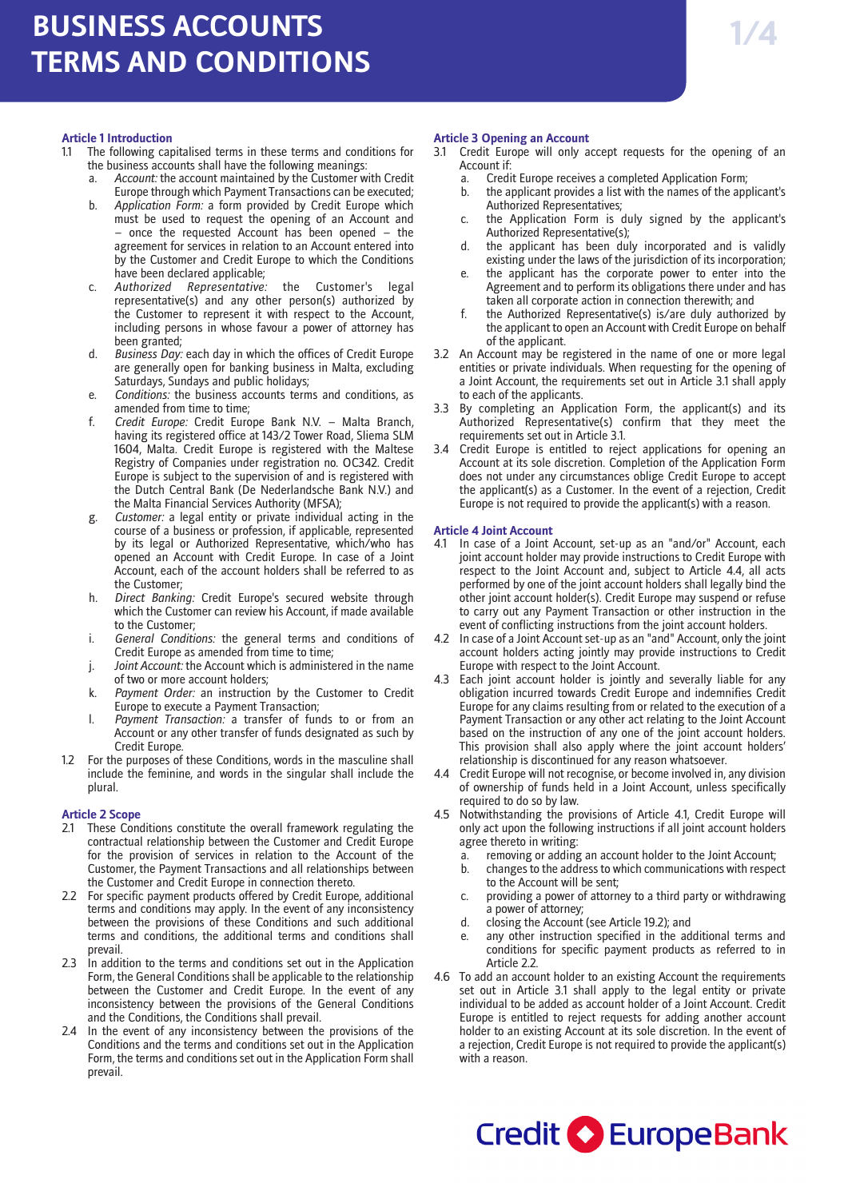## **Article 1 Introduction**

- 1.1 The following capitalised terms in these terms and conditions for the business accounts shall have the following meanings:
	- Account: the account maintained by the Customer with Credit Europe through which Payment Transactions can be executed;
	- b. *Application Form:* a form provided by Credit Europe which must be used to request the opening of an Account and – once the requested Account has been opened – the agreement for services in relation to an Account entered into by the Customer and Credit Europe to which the Conditions have been declared applicable;<br>Authorized Representative:
	- c. *Authorized Representative:* the Customer's legal representative(s) and any other person(s) authorized by the Customer to represent it with respect to the Account, including persons in whose favour a power of attorney has been granted;
	- d. *Business Day:* each day in which the offices of Credit Europe are generally open for banking business in Malta, excluding Saturdays, Sundays and public holidays;
	- Conditions: the business accounts terms and conditions, as amended from time to time;
	- f. *Credit Europe:* Credit Europe Bank N.V. Malta Branch, having its registered office at 143/2 Tower Road, Sliema SLM 1604, Malta. Credit Europe is registered with the Maltese Registry of Companies under registration no. OC342. Credit Europe is subject to the supervision of and is registered with the Dutch Central Bank (De Nederlandsche Bank N.V.) and the Malta Financial Services Authority (MFSA);
	- g. *Customer:* a legal entity or private individual acting in the course of a business or profession, if applicable, represented by its legal or Authorized Representative, which/who has opened an Account with Credit Europe. In case of a Joint Account, each of the account holders shall be referred to as the Customer;
	- h. *Direct Banking:* Credit Europe's secured website through which the Customer can review his Account, if made available to the Customer;
	- i. *General Conditions:* the general terms and conditions of Credit Europe as amended from time to time;
	- j. *Joint Account:* the Account which is administered in the name of two or more account holders;
	- k. *Payment Order:* an instruction by the Customer to Credit Europe to execute a Payment Transaction;
	- l. *Payment Transaction:* a transfer of funds to or from an Account or any other transfer of funds designated as such by Credit Europe.
- 1.2 For the purposes of these Conditions, words in the masculine shall include the feminine, and words in the singular shall include the plural.

# **Article 2 Scope**

- 2.1 These Conditions constitute the overall framework regulating the contractual relationship between the Customer and Credit Europe for the provision of services in relation to the Account of the Customer, the Payment Transactions and all relationships between the Customer and Credit Europe in connection thereto.
- 2.2 For specific payment products offered by Credit Europe, additional terms and conditions may apply. In the event of any inconsistency between the provisions of these Conditions and such additional terms and conditions, the additional terms and conditions shall prevail.
- 2.3 In addition to the terms and conditions set out in the Application Form, the General Conditions shall be applicable to the relationship between the Customer and Credit Europe. In the event of any inconsistency between the provisions of the General Conditions and the Conditions, the Conditions shall prevail.
- In the event of any inconsistency between the provisions of the Conditions and the terms and conditions set out in the Application Form, the terms and conditions set out in the Application Form shall prevail.

# **Article 3 Opening an Account**

- 3.1 Credit Europe will only accept requests for the opening of an Account if:
	- a. Credit Europe receives a completed Application Form;
	- b. the applicant provides a list with the names of the applicant's Authorized Representatives;
	- the Application Form is duly signed by the applicant's Authorized Representative(s);
	- d. the applicant has been duly incorporated and is validly existing under the laws of the jurisdiction of its incorporation;
	- e. the applicant has the corporate power to enter into the Agreement and to perform its obligations there under and has taken all corporate action in connection therewith; and
	- f. the Authorized Representative(s) is/are duly authorized by the applicant to open an Account with Credit Europe on behalf of the applicant.
- 3.2 An Account may be registered in the name of one or more legal entities or private individuals. When requesting for the opening of a Joint Account, the requirements set out in Article 3.1 shall apply to each of the applicants.
- 3.3 By completing an Application Form, the applicant(s) and its Authorized Representative(s) confirm that they meet the requirements set out in Article 3.1.
- 3.4 Credit Europe is entitled to reject applications for opening an Account at its sole discretion. Completion of the Application Form does not under any circumstances oblige Credit Europe to accept the applicant(s) as a Customer. In the event of a rejection, Credit Europe is not required to provide the applicant(s) with a reason.

## **Article 4 Joint Account**

- 4.1 In case of a Joint Account, set-up as an "and/or" Account, each joint account holder may provide instructions to Credit Europe with respect to the Joint Account and, subject to Article 4.4, all acts performed by one of the joint account holders shall legally bind the other joint account holder(s). Credit Europe may suspend or refuse to carry out any Payment Transaction or other instruction in the event of conflicting instructions from the joint account holders.
- 4.2 In case of a Joint Account set-up as an "and" Account, only the joint account holders acting jointly may provide instructions to Credit Europe with respect to the Joint Account.
- 4.3 Each joint account holder is jointly and severally liable for any obligation incurred towards Credit Europe and indemnifies Credit Europe for any claims resulting from or related to the execution of a Payment Transaction or any other act relating to the Joint Account based on the instruction of any one of the joint account holders. This provision shall also apply where the joint account holders' relationship is discontinued for any reason whatsoever.
- 4.4 Credit Europe will not recognise, or become involved in, any division of ownership of funds held in a Joint Account, unless specifically required to do so by law.
- 4.5 Notwithstanding the provisions of Article 4.1, Credit Europe will only act upon the following instructions if all joint account holders agree thereto in writing:
	- a. removing or adding an account holder to the Joint Account;
	- b. changes to the address to which communications with respect to the Account will be sent;
	- c. providing a power of attorney to a third party or withdrawing a power of attorney;
	- d. closing the Account (see Article 19.2); and
	- e. any other instruction specified in the additional terms and conditions for specific payment products as referred to in Article 2.2
- 4.6 To add an account holder to an existing Account the requirements set out in Article 3.1 shall apply to the legal entity or private individual to be added as account holder of a Joint Account. Credit Europe is entitled to reject requests for adding another account holder to an existing Account at its sole discretion. In the event of a rejection, Credit Europe is not required to provide the applicant(s) with a reason.

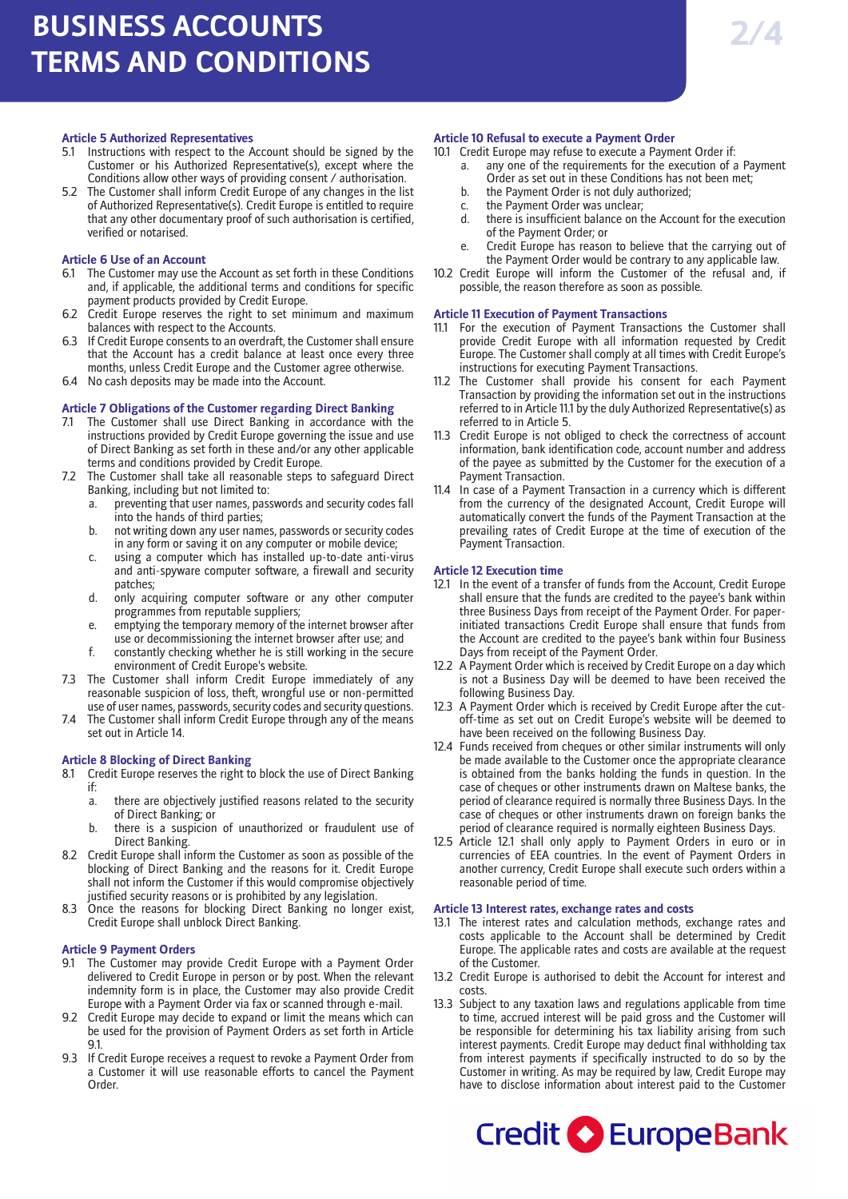#### **Article 5 Authorized Representatives**

- 5.1 Instructions with respect to the Account should be signed by the Customer or his Authorized Representative(s), except where the Conditions allow other ways of providing consent / authorisation.
- 5.2 The Customer shall inform Credit Europe of any changes in the list of Authorized Representative(s). Credit Europe is entitled to require that any other documentary proof of such authorisation is certified, verified or notarised.

### **Article 6 Use of an Account**

- 6.1 The Customer may use the Account as set forth in these Conditions and, if applicable, the additional terms and conditions for specific payment products provided by Credit Europe.
- 6.2 Credit Europe reserves the right to set minimum and maximum balances with respect to the Accounts.
- 6.3 If Credit Europe consents to an overdraft, the Customer shall ensure that the Account has a credit balance at least once every three months, unless Credit Europe and the Customer agree otherwise.
- 6.4 No cash deposits may be made into the Account.

### **Article 7 Obligations of the Customer regarding Direct Banking**

- 7.1 The Customer shall use Direct Banking in accordance with the instructions provided by Credit Europe governing the issue and use of Direct Banking as set forth in these and/or any other applicable terms and conditions provided by Credit Europe.
- 7.2 The Customer shall take all reasonable steps to safeguard Direct Banking, including but not limited to:
	- a. preventing that user names, passwords and security codes fall into the hands of third parties;
	- b. not writing down any user names, passwords or security codes in any form or saving it on any computer or mobile device;
	- using a computer which has installed up-to-date anti-virus and anti-spyware computer software, a firewall and security patches;
	- d. only acquiring computer software or any other computer programmes from reputable suppliers;
	- e. emptying the temporary memory of the internet browser after use or decommissioning the internet browser after use; and
	- f. constantly checking whether he is still working in the secure environment of Credit Europe's website.
- 7.3 The Customer shall inform Credit Europe immediately of any reasonable suspicion of loss, theft, wrongful use or non-permitted use of user names, passwords, security codes and security questions.
- 7.4 The Customer shall inform Credit Europe through any of the means set out in Article 14.

### **Article 8 Blocking of Direct Banking**

- 8.1 Credit Europe reserves the right to block the use of Direct Banking if:
	- a. there are objectively justified reasons related to the security of Direct Banking; or
	- b. there is a suspicion of unauthorized or fraudulent use of Direct Banking.
- 8.2 Credit Europe shall inform the Customer as soon as possible of the blocking of Direct Banking and the reasons for it. Credit Europe shall not inform the Customer if this would compromise objectively justified security reasons or is prohibited by any legislation.
- 8.3 Once the reasons for blocking Direct Banking no longer exist, Credit Europe shall unblock Direct Banking.

### **Article 9 Payment Orders**

- 9.1 The Customer may provide Credit Europe with a Payment Order delivered to Credit Europe in person or by post. When the relevant indemnity form is in place, the Customer may also provide Credit Europe with a Payment Order via fax or scanned through e-mail.
- 9.2 Credit Europe may decide to expand or limit the means which can be used for the provision of Payment Orders as set forth in Article 91.
- 9.3 If Credit Europe receives a request to revoke a Payment Order from a Customer it will use reasonable efforts to cancel the Payment Order.

### **Article 10 Refusal to execute a Payment Order**

- 10.1 Credit Europe may refuse to execute a Payment Order if:
	- a. any one of the requirements for the execution of a Payment Order as set out in these Conditions has not been met;
	- b. the Payment Order is not duly authorized;
	- c. the Payment Order was unclear;
	- d. there is insufficient balance on the Account for the execution of the Payment Order; or
	- Credit Europe has reason to believe that the carrying out of the Payment Order would be contrary to any applicable law.
- 10.2 Credit Europe will inform the Customer of the refusal and, if possible, the reason therefore as soon as possible.

### **Article 11 Execution of Payment Transactions**

- 11.1 For the execution of Payment Transactions the Customer shall provide Credit Europe with all information requested by Credit Europe. The Customer shall comply at all times with Credit Europe's instructions for executing Payment Transactions.
- 11.2 The Customer shall provide his consent for each Payment Transaction by providing the information set out in the instructions referred to in Article 11.1 by the duly Authorized Representative(s) as referred to in Article 5.
- 11.3 Credit Europe is not obliged to check the correctness of account information, bank identification code, account number and address of the payee as submitted by the Customer for the execution of a Payment Transaction.
- 11.4 In case of a Payment Transaction in a currency which is different from the currency of the designated Account, Credit Europe will automatically convert the funds of the Payment Transaction at the prevailing rates of Credit Europe at the time of execution of the Payment Transaction.

#### **Article 12 Execution time**

- 12.1 In the event of a transfer of funds from the Account, Credit Europe shall ensure that the funds are credited to the payee's bank within three Business Days from receipt of the Payment Order. For paperinitiated transactions Credit Europe shall ensure that funds from the Account are credited to the payee's bank within four Business Days from receipt of the Payment Order.
- 12.2 A Payment Order which is received by Credit Europe on a day which is not a Business Day will be deemed to have been received the following Business Day.
- 12.3 A Payment Order which is received by Credit Europe after the cutoff-time as set out on Credit Europe's website will be deemed to have been received on the following Business Day.
- 12.4 Funds received from cheques or other similar instruments will only be made available to the Customer once the appropriate clearance is obtained from the banks holding the funds in question. In the case of cheques or other instruments drawn on Maltese banks, the period of clearance required is normally three Business Days. In the case of cheques or other instruments drawn on foreign banks the period of clearance required is normally eighteen Business Days.
- 12.5 Article 12.1 shall only apply to Payment Orders in euro or in currencies of EEA countries. In the event of Payment Orders in another currency, Credit Europe shall execute such orders within a reasonable period of time.

### **Article 13 Interest rates, exchange rates and costs**

- 13.1 The interest rates and calculation methods, exchange rates and costs applicable to the Account shall be determined by Credit Europe. The applicable rates and costs are available at the request of the Customer.
- 13.2 Credit Europe is authorised to debit the Account for interest and costs.
- 13.3 Subject to any taxation laws and regulations applicable from time to time, accrued interest will be paid gross and the Customer will be responsible for determining his tax liability arising from such interest payments. Credit Europe may deduct final withholding tax from interest payments if specifically instructed to do so by the Customer in writing. As may be required by law, Credit Europe may have to disclose information about interest paid to the Customer

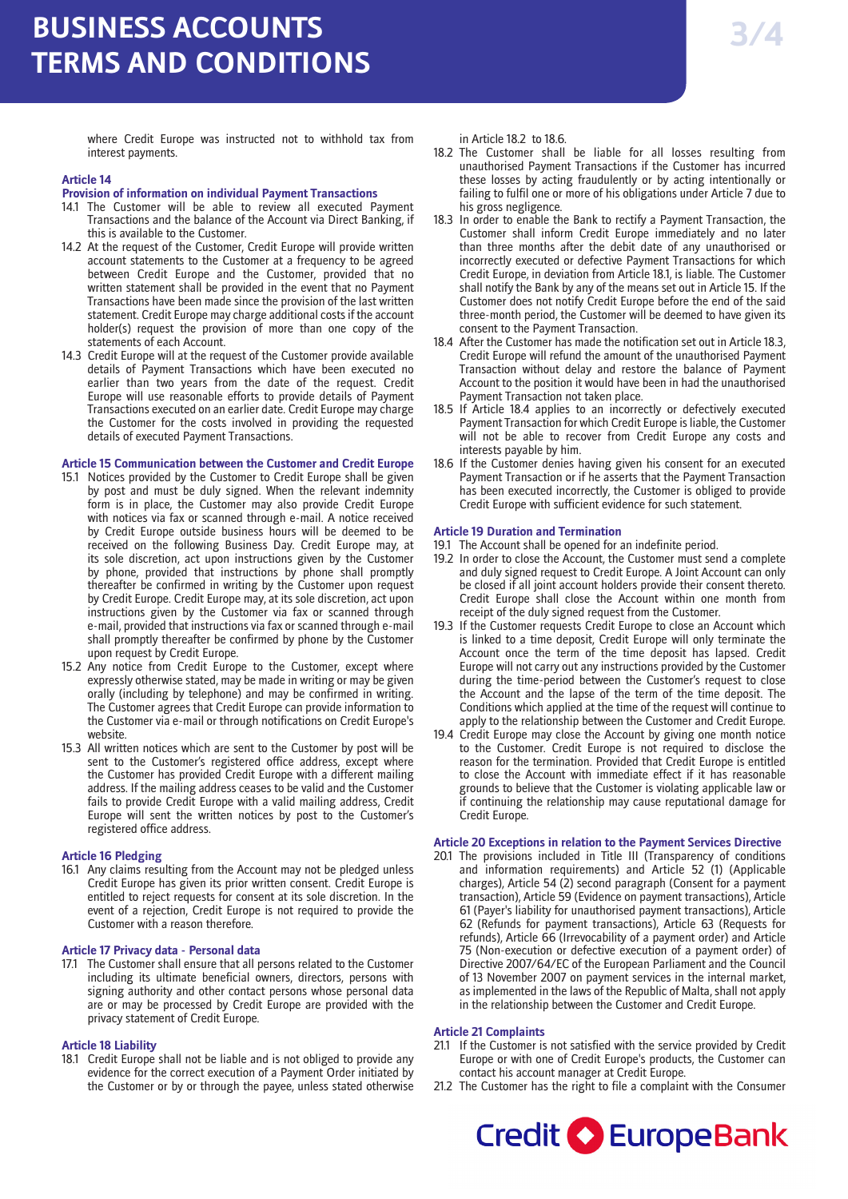where Credit Europe was instructed not to withhold tax from interest payments.

## **Article 14**

### **Provision of information on individual Payment Transactions**

- 14.1 The Customer will be able to review all executed Payment Transactions and the balance of the Account via Direct Banking, if this is available to the Customer.
- 14.2 At the request of the Customer, Credit Europe will provide written account statements to the Customer at a frequency to be agreed between Credit Europe and the Customer, provided that no written statement shall be provided in the event that no Payment Transactions have been made since the provision of the last written statement. Credit Europe may charge additional costs if the account holder(s) request the provision of more than one copy of the statements of each Account.
- 14.3 Credit Europe will at the request of the Customer provide available details of Payment Transactions which have been executed no earlier than two years from the date of the request. Credit Europe will use reasonable efforts to provide details of Payment Transactions executed on an earlier date. Credit Europe may charge the Customer for the costs involved in providing the requested details of executed Payment Transactions.

### **Article 15 Communication between the Customer and Credit Europe**

- 15.1 Notices provided by the Customer to Credit Europe shall be given by post and must be duly signed. When the relevant indemnity form is in place, the Customer may also provide Credit Europe with notices via fax or scanned through e-mail. A notice received by Credit Europe outside business hours will be deemed to be received on the following Business Day. Credit Europe may, at its sole discretion, act upon instructions given by the Customer by phone, provided that instructions by phone shall promptly thereafter be confirmed in writing by the Customer upon request by Credit Europe. Credit Europe may, at its sole discretion, act upon instructions given by the Customer via fax or scanned through e-mail, provided that instructions via fax or scanned through e-mail shall promptly thereafter be confirmed by phone by the Customer upon request by Credit Europe.
- 15.2 Any notice from Credit Europe to the Customer, except where expressly otherwise stated, may be made in writing or may be given orally (including by telephone) and may be confirmed in writing. The Customer agrees that Credit Europe can provide information to the Customer via e-mail or through notifications on Credit Europe's website.
- 15.3 All written notices which are sent to the Customer by post will be sent to the Customer's registered office address, except where the Customer has provided Credit Europe with a different mailing address. If the mailing address ceases to be valid and the Customer fails to provide Credit Europe with a valid mailing address, Credit Europe will sent the written notices by post to the Customer's registered office address.

## **Article 16 Pledging**

16.1 Any claims resulting from the Account may not be pledged unless Credit Europe has given its prior written consent. Credit Europe is entitled to reject requests for consent at its sole discretion. In the event of a rejection, Credit Europe is not required to provide the Customer with a reason therefore.

### **Article 17 Privacy data - Personal data**

17.1 The Customer shall ensure that all persons related to the Customer including its ultimate beneficial owners, directors, persons with signing authority and other contact persons whose personal data are or may be processed by Credit Europe are provided with the privacy statement of Credit Europe.

## **Article 18 Liability**

18.1 Credit Europe shall not be liable and is not obliged to provide any evidence for the correct execution of a Payment Order initiated by the Customer or by or through the payee, unless stated otherwise

in Article 18.2 to 18.6.

- 18.2 The Customer shall be liable for all losses resulting from unauthorised Payment Transactions if the Customer has incurred these losses by acting fraudulently or by acting intentionally or failing to fulfil one or more of his obligations under Article 7 due to his gross negligence.
- 18.3 In order to enable the Bank to rectify a Payment Transaction, the Customer shall inform Credit Europe immediately and no later than three months after the debit date of any unauthorised or incorrectly executed or defective Payment Transactions for which Credit Europe, in deviation from Article 18.1, is liable. The Customer shall notify the Bank by any of the means set out in Article 15. If the Customer does not notify Credit Europe before the end of the said three-month period, the Customer will be deemed to have given its consent to the Payment Transaction.
- 18.4 After the Customer has made the notification set out in Article 18.3, Credit Europe will refund the amount of the unauthorised Payment Transaction without delay and restore the balance of Payment Account to the position it would have been in had the unauthorised Payment Transaction not taken place.
- 18.5 If Article 18.4 applies to an incorrectly or defectively executed Payment Transaction for which Credit Europe is liable, the Customer will not be able to recover from Credit Europe any costs and interests payable by him.
- 18.6 If the Customer denies having given his consent for an executed Payment Transaction or if he asserts that the Payment Transaction has been executed incorrectly, the Customer is obliged to provide Credit Europe with sufficient evidence for such statement.

### **Article 19 Duration and Termination**

- 19.1 The Account shall be opened for an indefinite period.
- 19.2 In order to close the Account, the Customer must send a complete and duly signed request to Credit Europe. A Joint Account can only be closed if all joint account holders provide their consent thereto. Credit Europe shall close the Account within one month from receipt of the duly signed request from the Customer.
- 19.3 If the Customer requests Credit Europe to close an Account which is linked to a time deposit, Credit Europe will only terminate the Account once the term of the time deposit has lapsed. Credit Europe will not carry out any instructions provided by the Customer during the time-period between the Customer's request to close the Account and the lapse of the term of the time deposit. The Conditions which applied at the time of the request will continue to apply to the relationship between the Customer and Credit Europe.
- 19.4 Credit Europe may close the Account by giving one month notice to the Customer. Credit Europe is not required to disclose the reason for the termination. Provided that Credit Europe is entitled to close the Account with immediate effect if it has reasonable grounds to believe that the Customer is violating applicable law or if continuing the relationship may cause reputational damage for Credit Europe.

## **Article 20 Exceptions in relation to the Payment Services Directive**

20.1 The provisions included in Title III (Transparency of conditions and information requirements) and Article 52 (1) (Applicable charges), Article 54 (2) second paragraph (Consent for a payment transaction), Article 59 (Evidence on payment transactions), Article 61 (Payer's liability for unauthorised payment transactions), Article 62 (Refunds for payment transactions), Article 63 (Requests for refunds), Article 66 (Irrevocability of a payment order) and Article 75 (Non-execution or defective execution of a payment order) of Directive 2007/64/EC of the European Parliament and the Council of 13 November 2007 on payment services in the internal market, as implemented in the laws of the Republic of Malta, shall not apply in the relationship between the Customer and Credit Europe.

### **Article 21 Complaints**

- 21.1 If the Customer is not satisfied with the service provided by Credit Europe or with one of Credit Europe's products, the Customer can contact his account manager at Credit Europe.
- 21.2 The Customer has the right to file a complaint with the Consumer